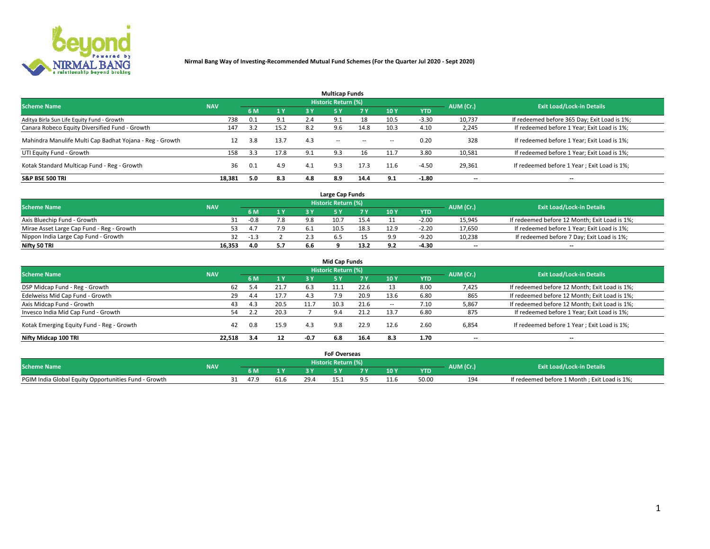

|                                                          |            |     |      |     | <b>Multicap Funds</b> |           |        |            |           |                                              |
|----------------------------------------------------------|------------|-----|------|-----|-----------------------|-----------|--------|------------|-----------|----------------------------------------------|
| <b>Scheme Name</b>                                       | <b>NAV</b> |     |      |     | Historic Return (%)   |           |        |            | AUM (Cr.) | <b>Exit Load/Lock-in Details</b>             |
|                                                          |            | 6 M | 1 Y  | 3 Y | <b>5Y</b>             | <b>7Y</b> | 10Y    | <b>YTD</b> |           |                                              |
| Aditya Birla Sun Life Equity Fund - Growth               | 738        | 0.1 | 9.1  | 2.4 | 9.1                   | 18        | 10.5   | $-3.30$    | 10,737    | If redeemed before 365 Day; Exit Load is 1%; |
| Canara Robeco Equity Diversified Fund - Growth           | 147        | 3.2 | 15.2 | 8.2 | 9.6                   | 14.8      | 10.3   | 4.10       | 2,245     | If redeemed before 1 Year; Exit Load is 1%;  |
| Mahindra Manulife Multi Cap Badhat Yojana - Reg - Growth | 12         | 3.8 | 13.7 | 4.3 | $\sim$ $-$            | $\sim$    | $\sim$ | 0.20       | 328       | If redeemed before 1 Year; Exit Load is 1%;  |
| UTI Equity Fund - Growth                                 | 158        | 3.3 | 17.8 | 9.1 | 9.3                   |           | 11.7   | 3.80       | 10,581    | If redeemed before 1 Year; Exit Load is 1%;  |
| Kotak Standard Multicap Fund - Reg - Growth              | 36         | 0.1 | 4.9  | 4.1 | 9.3                   | 17.3      | 11.6   | $-4.5C$    | 29,361    | If redeemed before 1 Year; Exit Load is 1%;  |
| <b>S&amp;P BSE 500 TRI</b>                               | 18.381     | 5.0 | 8.3  | 4.8 | 8.9                   | 14.4      | 9.1    | $-1.80$    | --        | $- -$                                        |

|                                           |            |                                  |     |     | Large Cap Funds |      |      |            |                          |                                               |
|-------------------------------------------|------------|----------------------------------|-----|-----|-----------------|------|------|------------|--------------------------|-----------------------------------------------|
| <b>Scheme Name</b>                        | AUM (Cr.)  | <b>Exit Load/Lock-in Details</b> |     |     |                 |      |      |            |                          |                                               |
|                                           | <b>NAV</b> | <b>6 M</b>                       | 1Y  |     |                 |      | 10 Y | <b>YTD</b> |                          |                                               |
| Axis Bluechip Fund - Growth               |            | $-0.8$                           | 7.8 |     | 10.7            | 15.4 |      | $-2.0C$    | 15,945                   | If redeemed before 12 Month; Exit Load is 1%; |
| Mirae Asset Large Cap Fund - Reg - Growth |            | $4^{\circ}$                      | 7.9 |     | 10.5            | 18.3 | 12.9 | $-2.20$    | 17,650                   | If redeemed before 1 Year; Exit Load is 1%;   |
| Nippon India Large Cap Fund - Growth      |            | $-1.3$                           |     | z., |                 |      | ہ ہ  | $-9.20$    | 10,238                   | If redeemed before 7 Day; Exit Load is 1%;    |
| Nifty 50 TRI                              | 16.353     | 4.0                              | 5.7 | 6.6 |                 | 13.2 | 9.2  | -4.30      | $\overline{\phantom{a}}$ | $\overline{\phantom{a}}$                      |

| <b>Mid Cap Funds</b>                      |            |     |      |        |                            |           |        |            |                          |                                               |  |  |  |
|-------------------------------------------|------------|-----|------|--------|----------------------------|-----------|--------|------------|--------------------------|-----------------------------------------------|--|--|--|
| <b>Scheme Name</b>                        | <b>NAV</b> |     |      |        | <b>Historic Return (%)</b> |           |        |            |                          | <b>Exit Load/Lock-in Details</b>              |  |  |  |
|                                           |            | 6 M | 1 Y  | 3 Y    |                            | <b>7Y</b> | 10Y    | <b>YTD</b> | AUM (Cr.)                |                                               |  |  |  |
| DSP Midcap Fund - Reg - Growth            | 62         |     | 21.7 | 6.3    |                            | 22.6      |        | 8.00       | 7,425                    | If redeemed before 12 Month; Exit Load is 1%; |  |  |  |
| Edelweiss Mid Cap Fund - Growth           | 29         | 4.4 | 17.7 | 4.3    | 7.9                        | 20.9      | 13.6   | 6.80       | 865                      | If redeemed before 12 Month; Exit Load is 1%; |  |  |  |
| Axis Midcap Fund - Growth                 | 43         | 4.3 | 20.5 | 11.7   | 10.3                       | 21.6      | $\sim$ | 7.10       | 5,867                    | If redeemed before 12 Month; Exit Load is 1%; |  |  |  |
| Invesco India Mid Cap Fund - Growth       | 54         |     | 20.3 |        | 9.4                        | 21.2      | 13.7   | 6.80       | 875                      | If redeemed before 1 Year; Exit Load is 1%;   |  |  |  |
| Kotak Emerging Equity Fund - Reg - Growth | 42         | 0.8 | 15.9 | 4.3    | 9.8                        | 22.9      | 12.6   | 2.60       | 6,854                    | If redeemed before 1 Year; Exit Load is 1%;   |  |  |  |
| Nifty Midcap 100 TRI                      | 22.518     | 3.4 | 12   | $-0.7$ | 6.8                        | 16.4      | 8.3    | 1.70       | $\overline{\phantom{a}}$ | $- -$                                         |  |  |  |

|                                                      |            |                  |      |      | <b>FoF Overseas</b>        |           |            |           |                                              |
|------------------------------------------------------|------------|------------------|------|------|----------------------------|-----------|------------|-----------|----------------------------------------------|
| <b>Scheme Name</b>                                   | <b>NAV</b> |                  |      |      | <b>Historic Return (%)</b> |           |            | AUM (Cr.) | <b>Exit Load/Lock-in Details</b>             |
|                                                      |            | 6 M              |      |      |                            | 10Y       | <b>YTD</b> |           |                                              |
| PGIM India Global Equity Opportunities Fund - Growth |            | 47. <sup>c</sup> | 51.6 | 29.4 |                            | $\pm 1.0$ | 50.00      | 194       | If redeemed before 1 Month; Exit Load is 1%; |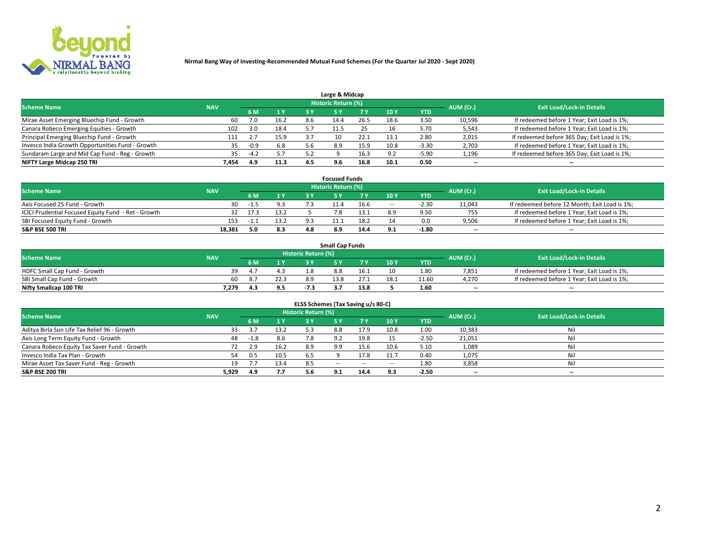

| Large & Midcap                                   |            |        |      |     |                     |      |      |            |                          |                                              |  |  |  |  |
|--------------------------------------------------|------------|--------|------|-----|---------------------|------|------|------------|--------------------------|----------------------------------------------|--|--|--|--|
| <b>Scheme Name</b>                               | <b>NAV</b> |        |      |     | Historic Return (%) |      |      |            | AUM (Cr.)                | <b>Exit Load/Lock-in Details</b>             |  |  |  |  |
|                                                  |            | 6 M    | 1 Y  | 3 Y |                     | 7 V  | 10Y  | <b>YTD</b> |                          |                                              |  |  |  |  |
| Mirae Asset Emerging Bluechip Fund - Growth      | 60         | 7.0    | 16.2 | 8.6 |                     | 26.5 | 18.6 | 3.50       | 10,596                   | If redeemed before 1 Year; Exit Load is 1%;  |  |  |  |  |
| Canara Robeco Emerging Equities - Growth         | 102        | 3.0    | 18.4 |     |                     |      | 16   | 5.70       | 5,543                    | If redeemed before 1 Year; Exit Load is 1%;  |  |  |  |  |
| Principal Emerging Bluechip Fund - Growth        | 111        |        | 15.9 | 3.7 | 10                  | 22.1 | 13.1 | 2.80       | 2,015                    | If redeemed before 365 Day; Exit Load is 1%; |  |  |  |  |
| Invesco India Growth Opportunities Fund - Growth | 35         | $-0.9$ | 6.8  | 5.6 | 8.9                 | 15.9 | 10.8 | $-3.30$    | 2,703                    | If redeemed before 1 Year; Exit Load is 1%;  |  |  |  |  |
| Sundaram Large and Mid Cap Fund - Reg - Growth   | 35.        | $-4.2$ | 5.7  |     |                     | 16.3 | ΩΓ   | -5.90      | 1,196                    | If redeemed before 365 Day; Exit Load is 1%; |  |  |  |  |
| NIFTY Large Midcap 250 TRI                       | 7.454      | 4.9    | 11.3 | 4.5 | 9.6                 | 16.8 | 10.1 | 0.50       | $\overline{\phantom{a}}$ | $- -$                                        |  |  |  |  |

|                                                     |            |         |      |           | <b>Focused Funds</b>             |      |        |            |                          |                                               |
|-----------------------------------------------------|------------|---------|------|-----------|----------------------------------|------|--------|------------|--------------------------|-----------------------------------------------|
| <b>Scheme Name</b>                                  | <b>NAV</b> |         |      | AUM (Cr.) | <b>Exit Load/Lock-in Details</b> |      |        |            |                          |                                               |
|                                                     |            | 6 M     | 1 Y  |           |                                  |      | 10 Y   | <b>YTD</b> |                          |                                               |
| Axis Focused 25 Fund - Growth                       | 30         | -1.5    | 9.3  |           | 11.4                             | 16.6 | $\sim$ | $-2.30$    | 11,043                   | If redeemed before 12 Month; Exit Load is 1%; |
| ICICI Prudential Focused Equity Fund - Ret - Growth |            | 32 17.3 | 13.2 |           |                                  |      |        | 9.50       | 755                      | If redeemed before 1 Year; Exit Load is 1%;   |
| SBI Focused Equity Fund - Growth                    | 153        | ⊥ - ⊥   | 13.2 | െ         |                                  | 18.2 |        | 0.0        | 9,506                    | If redeemed before 1 Year; Exit Load is 1%;   |
| S&P BSE 500 TRI                                     | 18,381     | 5.0     | 8.3  | 4 R       | 8.9                              | 14.4 |        | $-1.80$    | $\overline{\phantom{a}}$ | $- -$                                         |

|                              |            |     |      |                     | <b>Small Cap Funds</b> |      |                 |            |           |                                             |
|------------------------------|------------|-----|------|---------------------|------------------------|------|-----------------|------------|-----------|---------------------------------------------|
| <b>Scheme Name</b>           | <b>NAV</b> |     |      | Historic Return (%) |                        |      |                 |            | AUM (Cr.) | <b>Exit Load/Lock-in Details</b>            |
|                              |            | 6 M |      |                     |                        |      | 10 <sub>Y</sub> | <b>YTD</b> |           |                                             |
| HDFC Small Cap Fund - Growth | 39         |     |      |                     | 8.8                    | 16.1 |                 | 1.80       | 7,851     | If redeemed before 1 Year; Exit Load is 1%; |
| SBI Small Cap Fund - Growth  |            |     | 22.3 | 8.9                 | 13.8                   |      | 18.1            | 11.60      | 4,270     | If redeemed before 1 Year; Exit Load is 1%; |
| Nifty Smallcap 100 TRI       | 7.279      |     | 9.5  |                     |                        | 13.8 |                 | 1.60       | $- -$     | $- -$                                       |

| ELSS Schemes (Tax Saving u/s 80-C)           |            |       |      |                            |            |           |                          |            |                          |                                  |  |  |  |
|----------------------------------------------|------------|-------|------|----------------------------|------------|-----------|--------------------------|------------|--------------------------|----------------------------------|--|--|--|
| <b>Scheme Name</b>                           | <b>NAV</b> |       |      | <b>Historic Return (%)</b> |            |           |                          |            | AUM (Cr.)                | <b>Exit Load/Lock-in Details</b> |  |  |  |
|                                              |            | - 6 M | 1 Y  | 3 Y                        | <b>5Y</b>  | <b>7Y</b> | 10Y                      | <b>YTD</b> |                          |                                  |  |  |  |
| Aditya Birla Sun Life Tax Relief 96 - Growth | 33         | 3.7   | 13.2 | 5.3                        | 8.8        | 17.9      | 10.8                     | 1.00       | 10,383                   | Nil                              |  |  |  |
| Axis Long Term Equity Fund - Growth          | 48         | -1.8  | 8.6  |                            | Q J        | 19.8      |                          | $-2.50$    | 21,051                   | Nil                              |  |  |  |
| Canara Robeco Equity Tax Saver Fund - Growth | 72         | 2.9   | 16.2 | 8.9                        | 9.9        | 15.6      | 10.6                     | 5.10       | 1,089                    | Nil                              |  |  |  |
| Invesco India Tax Plan - Growth              | 54         | 0.5   | 10.5 | 6.5                        |            | 17.8      | 11.7                     | 0.40       | 1,075                    | Nil                              |  |  |  |
| Mirae Asset Tax Saver Fund - Reg - Growth    | 19         |       | 13.4 | 8.5                        | $\sim$ $-$ | $\sim$    | $\overline{\phantom{a}}$ | 1.80       | 3,858                    | Nil                              |  |  |  |
| S&P BSE 200 TRI                              | 5,929      | 4.9   | 7.7  | 5.6                        | 9.1        | 14.4      | 9.3                      | $-2.50$    | $\overline{\phantom{a}}$ | $- -$                            |  |  |  |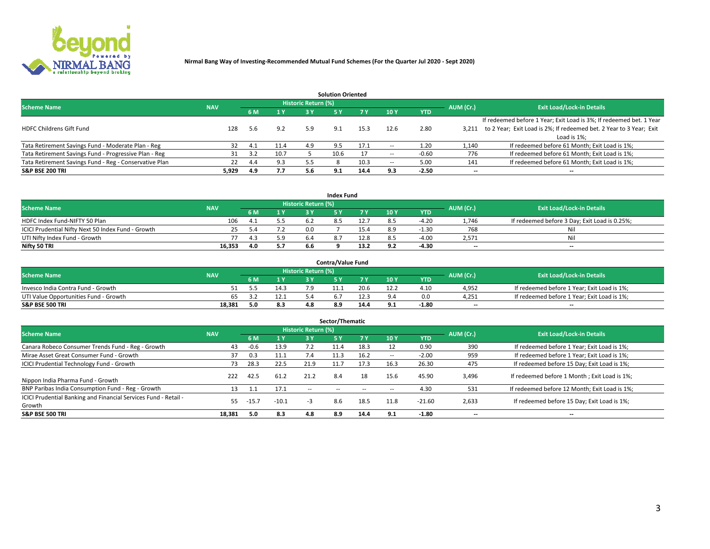

|                                                        |            |            |      |                            | <b>Solution Oriented</b> |      |                          |            |                          |                                                                     |
|--------------------------------------------------------|------------|------------|------|----------------------------|--------------------------|------|--------------------------|------------|--------------------------|---------------------------------------------------------------------|
| <b>Scheme Name</b>                                     | <b>NAV</b> |            |      | <b>Historic Return (%)</b> |                          |      |                          |            | AUM (Cr.)                | <b>Exit Load/Lock-in Details</b>                                    |
|                                                        |            | <b>6 M</b> | 1 Y  | 3 Y                        |                          |      | 10Y                      | <b>YTD</b> |                          |                                                                     |
|                                                        |            |            |      |                            |                          |      |                          |            |                          | If redeemed before 1 Year; Exit Load is 3%; If redeemed bet. 1 Year |
| <b>HDFC Childrens Gift Fund</b>                        | 128        | 5.6        | 9.2  | 5.9                        | 9.1                      | 15.3 | 12.6                     | 2.80       | 3.211                    | to 2 Year; Exit Load is 2%; If redeemed bet. 2 Year to 3 Year; Exit |
|                                                        |            |            |      |                            |                          |      |                          |            |                          | Load is 1%;                                                         |
| Tata Retirement Savings Fund - Moderate Plan - Reg     | 32         | 4.1        | 11.4 | 4.9                        | 9.5                      | 17.1 | --                       | 1.20       | 1,140                    | If redeemed before 61 Month; Exit Load is 1%;                       |
| Tata Retirement Savings Fund - Progressive Plan - Reg  | 31         | 3.2        | 10.7 |                            | 10.6                     |      | $\overline{\phantom{a}}$ | $-0.60$    | 776                      | If redeemed before 61 Month; Exit Load is 1%;                       |
| Tata Retirement Savings Fund - Reg - Conservative Plan | 22         | 4.4        | 9.3  | 5.5                        |                          | 10.3 | --                       | 5.00       | 141                      | If redeemed before 61 Month; Exit Load is 1%;                       |
| S&P BSE 200 TRI                                        | 5,929      | 4.9        | 7.7  | 5.6                        | 9.1                      | 14.4 | 9.3                      | $-2.50$    | $\overline{\phantom{a}}$ | $- -$                                                               |

|                                                    |            |     |                              |                            | <b>Index Fund</b> |      |      |            |                          |                                               |
|----------------------------------------------------|------------|-----|------------------------------|----------------------------|-------------------|------|------|------------|--------------------------|-----------------------------------------------|
| <b>Scheme Name</b>                                 | <b>NAV</b> |     |                              | <b>Historic Return (%)</b> |                   |      |      |            | AUM (Cr.)                | <b>Exit Load/Lock-in Details</b>              |
|                                                    |            |     | $\triangleq$ $\triangledown$ | 2 V                        |                   | 7 V  | 10 Y | <b>YTD</b> |                          |                                               |
| HDFC Index Fund-NIFTY 50 Plan                      | 106        |     | 5.5                          |                            |                   | 12.7 |      | $-4.20$    | 1,746                    | If redeemed before 3 Day; Exit Load is 0.25%; |
| ICICI Prudential Nifty Next 50 Index Fund - Growth |            |     |                              | n n                        |                   |      |      | $-1.30$    | 768                      | Nil                                           |
| UTI Nifty Index Fund - Growth                      |            |     | 5.9                          |                            |                   | 12.8 |      | $-4.00$    | 2,571                    | Nil                                           |
| Nifty 50 TRI                                       | 16,353     | 4.0 | 5.7                          | 6.6                        |                   | 13.2 | 9.2  | -4.30      | $\overline{\phantom{a}}$ | $- -$                                         |

|                                       |            |            |                            | <b>Contra/Value Fund</b> |      |     |            |                          |                                             |
|---------------------------------------|------------|------------|----------------------------|--------------------------|------|-----|------------|--------------------------|---------------------------------------------|
| <b>Scheme Name</b>                    | <b>NAV</b> |            | <b>Historic Return (%)</b> |                          |      |     |            | AUM (Cr.)                | <b>Exit Load/Lock-in Details</b>            |
|                                       |            | $\bm{A}$ W |                            |                          | 7 V  | 10Y | <b>YTD</b> |                          |                                             |
| Invesco India Contra Fund - Growth    |            | 14.3       |                            |                          | 20.6 |     | 4.10       | 4,952                    | If redeemed before 1 Year; Exit Load is 1%; |
| UTI Value Opportunities Fund - Growth | 65         | 12.1       |                            |                          | 12.3 |     | 0.0        | 4,251                    | If redeemed before 1 Year; Exit Load is 1%; |
| <b>S&amp;P BSE 500 TRI</b>            | 18.381     | 8.3        |                            |                          | 14.4 |     | $-1.80$    | $\overline{\phantom{a}}$ | $- -$                                       |

| Sector/Thematic                                                           |            |         |                |                     |            |           |                          |            |           |                                               |  |  |  |  |
|---------------------------------------------------------------------------|------------|---------|----------------|---------------------|------------|-----------|--------------------------|------------|-----------|-----------------------------------------------|--|--|--|--|
| <b>Scheme Name</b>                                                        | <b>NAV</b> |         |                | Historic Return (%) |            |           |                          |            | AUM (Cr.) | <b>Exit Load/Lock-in Details</b>              |  |  |  |  |
|                                                                           |            | 6 M     | 1 <sub>Y</sub> | 3 Y                 | <b>5Y</b>  | <b>7Y</b> | 10Y                      | <b>YTD</b> |           |                                               |  |  |  |  |
| Canara Robeco Consumer Trends Fund - Reg - Growth                         | 43         | $-0.6$  | 13.9           |                     | 11.4       | 18.3      |                          | 0.90       | 390       | If redeemed before 1 Year; Exit Load is 1%;   |  |  |  |  |
| Mirae Asset Great Consumer Fund - Growth                                  | 37         | 0.3     |                |                     | 11.3       | 16.2      | $\overline{\phantom{a}}$ | $-2.00$    | 959       | If redeemed before 1 Year; Exit Load is 1%;   |  |  |  |  |
| <b>ICICI Prudential Technology Fund - Growth</b>                          | 73.        | 28.3    | 22.5           | 21.9                | 11.7       | 17.3      | 16.3                     | 26.30      | 475       | If redeemed before 15 Day; Exit Load is 1%;   |  |  |  |  |
| Nippon India Pharma Fund - Growth                                         | 222        | 42.5    | 61.2           | 21.2                | 8.4        | 18        | 15.6                     | 45.90      | 3,496     | If redeemed before 1 Month; Exit Load is 1%;  |  |  |  |  |
| BNP Paribas India Consumption Fund - Reg - Growth                         | 13         | $1.1\,$ | 17.1           | $\sim$ $-$          | $\sim$ $-$ | $\sim$    | $\sim$                   | 4.30       | 531       | If redeemed before 12 Month; Exit Load is 1%; |  |  |  |  |
| ICICI Prudential Banking and Financial Services Fund - Retail -<br>Growth | 55         | $-15.7$ | $-10.1$        | -3                  | 8.6        | 18.5      | 11.8                     | $-21.60$   | 2,633     | If redeemed before 15 Day; Exit Load is 1%;   |  |  |  |  |
| <b>S&amp;P BSE 500 TRI</b>                                                | 18,381     | 5.0     | 8.3            | 4.8                 | 8.9        | 14.4      | 9.1                      | $-1.80$    | --        | $- -$                                         |  |  |  |  |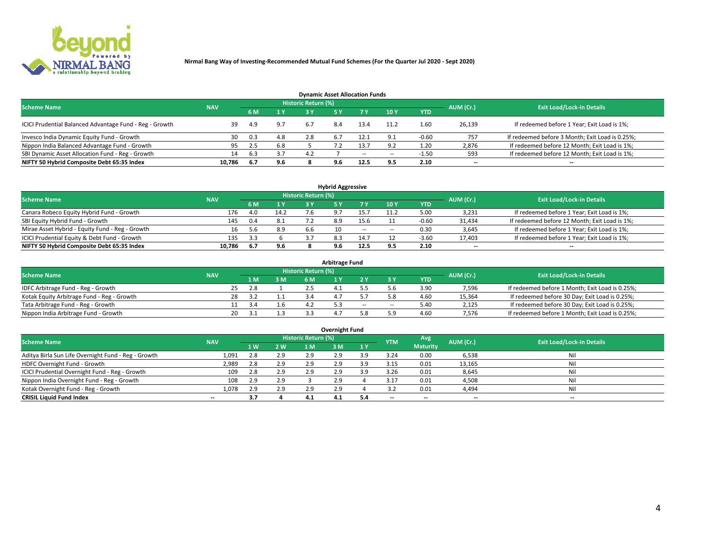

| <b>Dynamic Asset Allocation Funds</b>                   |            |     |     |                            |     |        |                          |            |           |                                                 |  |  |  |  |
|---------------------------------------------------------|------------|-----|-----|----------------------------|-----|--------|--------------------------|------------|-----------|-------------------------------------------------|--|--|--|--|
| <b>Scheme Name</b>                                      | <b>NAV</b> |     |     | <b>Historic Return (%)</b> |     |        |                          |            | AUM (Cr.) | <b>Exit Load/Lock-in Details</b>                |  |  |  |  |
|                                                         |            | 6 M | 1 Y |                            |     |        | $-10Y$                   | <b>YTD</b> |           |                                                 |  |  |  |  |
| ICICI Prudential Balanced Advantage Fund - Reg - Growth | 39         | 4.9 | 9.7 | 6.7                        | 8.4 | 13.4   |                          | 1.60       | 26,139    | If redeemed before 1 Year; Exit Load is 1%;     |  |  |  |  |
| Invesco India Dynamic Equity Fund - Growth              | 30         | 0.3 | 4.8 | 2.8                        | 6.7 |        | 9.1                      | $-0.60$    | 757       | If redeemed before 3 Month; Exit Load is 0.25%; |  |  |  |  |
| Nippon India Balanced Advantage Fund - Growth           | 95         | 2.5 | 6.8 |                            |     | 13.7   | 9.2                      | 1.20       | 2,876     | If redeemed before 12 Month; Exit Load is 1%;   |  |  |  |  |
| SBI Dynamic Asset Allocation Fund - Reg - Growth        | 14         | 6.3 | 3.7 | 4.2                        |     | $\sim$ | $\overline{\phantom{a}}$ | $-1.50$    | 593       | If redeemed before 12 Month; Exit Load is 1%;   |  |  |  |  |
| NIFTY 50 Hybrid Composite Debt 65:35 Index              | 10,786     | 6.7 | 9.6 |                            | 9.6 | 12.5   | 9.5                      | 2.10       | $- -$     | $- -$                                           |  |  |  |  |

| <b>Hybrid Aggressive</b>                        |            |        |      |                     |    |        |        |            |                          |                                               |  |  |  |  |
|-------------------------------------------------|------------|--------|------|---------------------|----|--------|--------|------------|--------------------------|-----------------------------------------------|--|--|--|--|
| <b>Scheme Name</b>                              | <b>NAV</b> |        |      | Historic Return (%) |    |        |        |            | AUM (Cr.)                | <b>Exit Load/Lock-in Details</b>              |  |  |  |  |
|                                                 |            | 6 M    | 1 Y  | RУ                  |    |        | 10Y    | <b>YTD</b> |                          |                                               |  |  |  |  |
| Canara Robeco Equity Hybrid Fund - Growth       | 176        | 4.0    | 14.2 |                     |    |        | 11.2   | 5.00       | 3,231                    | If redeemed before 1 Year; Exit Load is 1%;   |  |  |  |  |
| SBI Equity Hybrid Fund - Growth                 | 145        | 0.4    | 8.1  |                     |    | 15.6   |        | $-0.60$    | 31,434                   | If redeemed before 12 Month; Exit Load is 1%; |  |  |  |  |
| Mirae Asset Hybrid - Equity Fund - Reg - Growth | 16         | 5.6    | 8.9  | 6.6                 | 10 | $\sim$ | $\sim$ | 0.30       | 3,645                    | If redeemed before 1 Year; Exit Load is 1%;   |  |  |  |  |
| ICICI Prudential Equity & Debt Fund - Growth    | 135        | - 2- 2 |      |                     |    | 14.7   |        | $-3.60$    | 17,403                   | If redeemed before 1 Year; Exit Load is 1%;   |  |  |  |  |
| NIFTY 50 Hybrid Composite Debt 65:35 Index      | 10.786     | 6.7    | 9.6  |                     |    | 12.5   |        | 2.10       | $\overline{\phantom{a}}$ | $- -$                                         |  |  |  |  |

| <b>Arbitrage Fund</b>                      |            |    |      |     |                     |  |        |        |            |           |                                                 |  |  |  |
|--------------------------------------------|------------|----|------|-----|---------------------|--|--------|--------|------------|-----------|-------------------------------------------------|--|--|--|
| <b>Scheme Name</b>                         | <b>NAV</b> |    |      |     | Historic Return (%) |  |        |        |            | AUM (Cr.) | <b>Exit Load/Lock-in Details</b>                |  |  |  |
|                                            |            |    | L M. | 3 M | <b>6M</b>           |  |        |        | <b>YTD</b> |           |                                                 |  |  |  |
| IDFC Arbitrage Fund - Reg - Growth         |            | 25 | 2.8  |     |                     |  |        |        | 3.90       | 7,596     | If redeemed before 1 Month; Exit Load is 0.25%; |  |  |  |
| Kotak Equity Arbitrage Fund - Reg - Growth |            |    |      |     |                     |  |        |        | 4.60       | 15,364    | If redeemed before 30 Day; Exit Load is 0.25%;  |  |  |  |
| Tata Arbitrage Fund - Reg - Growth         |            |    |      |     |                     |  | $\sim$ | $\sim$ | 5.40       | 2,125     | If redeemed before 30 Day; Exit Load is 0.25%;  |  |  |  |
| Nippon India Arbitrage Fund - Growth       |            | 20 |      |     |                     |  |        | : ۵    | 4.60       | 7.576     | If redeemed before 1 Month; Exit Load is 0.25%; |  |  |  |

| Overnight Fund                                      |            |     |     |                     |     |     |            |                 |                          |                                  |  |  |  |
|-----------------------------------------------------|------------|-----|-----|---------------------|-----|-----|------------|-----------------|--------------------------|----------------------------------|--|--|--|
| <b>Scheme Name</b>                                  | <b>NAV</b> |     |     | Historic Return (%) |     |     | <b>YTM</b> | Avg             | AUM (Cr.)                | <b>Exit Load/Lock-in Details</b> |  |  |  |
|                                                     |            | 1 W | 2 W | 1 M                 | : M | 1Y  |            | <b>Maturity</b> |                          |                                  |  |  |  |
| Aditya Birla Sun Life Overnight Fund - Reg - Growth | 1,091      | 2.8 | 2.9 | 2.9                 | 2.9 | 3.9 | 3.24       | 0.00            | 6,538                    | Nil                              |  |  |  |
| HDFC Overnight Fund - Growth                        | 2,989      | 2.8 | 2.9 | 2.9                 | 2.9 | ıа  | 3.15       | 0.01            | 13,165                   | Nil                              |  |  |  |
| ICICI Prudential Overnight Fund - Reg - Growth      | 109        | 2.8 | 2.9 | 2.9                 | 2.5 | ιa  | 3.26       | 0.01            | 8,645                    | Nil                              |  |  |  |
| Nippon India Overnight Fund - Reg - Growth          | 108        | 2.9 | 2.9 |                     | 2.9 |     | 3.17       | 0.01            | 4,508                    | Nil                              |  |  |  |
| Kotak Overnight Fund - Reg - Growth                 | 1,078      | 2.9 | 2.9 | 2.9                 | 2.9 |     |            | 0.01            | 4,494                    | Nil                              |  |  |  |
| <b>CRISIL Liquid Fund Index</b>                     | $-$        | 3.7 |     | 4.1                 | 4.1 |     | --         | $- -$           | $\overline{\phantom{a}}$ | $- -$                            |  |  |  |

### **Overnight Fund**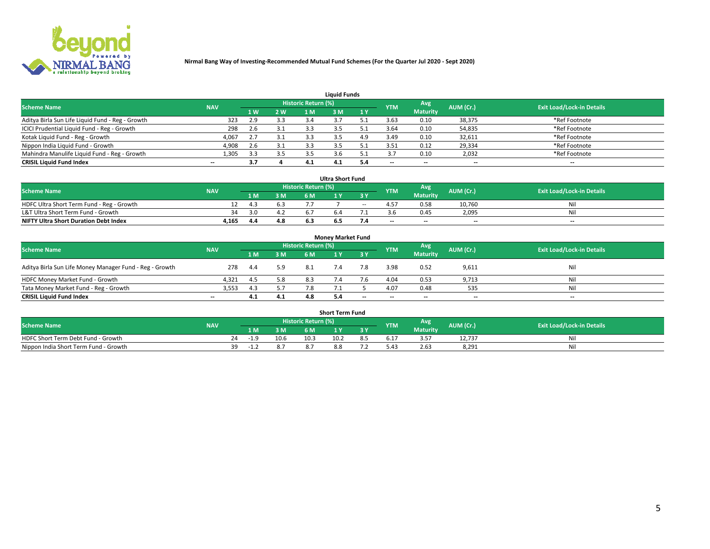

| <b>Liquid Funds</b>                              |            |     |     |                     |     |     |            |                 |           |                                  |  |  |  |  |
|--------------------------------------------------|------------|-----|-----|---------------------|-----|-----|------------|-----------------|-----------|----------------------------------|--|--|--|--|
| <b>Scheme Name</b>                               | <b>NAV</b> |     |     | Historic Return (%) |     |     | <b>YTM</b> | Avg             | AUM (Cr.) | <b>Exit Load/Lock-in Details</b> |  |  |  |  |
|                                                  |            | 4W  | 2 W | 1 M                 | M   | 1 Y |            | <b>Maturity</b> |           |                                  |  |  |  |  |
| Aditya Birla Sun Life Liquid Fund - Reg - Growth | 323        | 2.9 | 3.3 | 3.4                 |     |     | 3.63       | 0.10            | 38,375    | *Ref Footnote                    |  |  |  |  |
| ICICI Prudential Liquid Fund - Reg - Growth      | 298        | 2.6 | 3.1 | 3.3                 |     |     | 3.64       | 0.10            | 54,835    | *Ref Footnote                    |  |  |  |  |
| Kotak Liquid Fund - Reg - Growth                 | 4,067      |     | 3.1 |                     |     | 4.9 | 3.49       | 0.10            | 32,611    | *Ref Footnote                    |  |  |  |  |
| Nippon India Liquid Fund - Growth                | 4,908      | 2.6 | 3.1 |                     |     |     | 3.51       | 0.12            | 29,334    | *Ref Footnote                    |  |  |  |  |
| Mahindra Manulife Liquid Fund - Reg - Growth     | 1,305      | 3.3 | 3.5 | 3.5                 |     |     |            | 0.10            | 2,032     | *Ref Footnote                    |  |  |  |  |
| <b>CRISIL Liquid Fund Index</b>                  | $- -$      | 3.7 |     | 4.1                 | 4.1 |     | --         | $- -$           | --        | $- -$                            |  |  |  |  |

| <b>Ultra Short Fund</b>                      |            |      |     |                     |     |        |            |                 |                          |                                  |  |  |  |  |
|----------------------------------------------|------------|------|-----|---------------------|-----|--------|------------|-----------------|--------------------------|----------------------------------|--|--|--|--|
| <b>Scheme Name</b>                           | <b>NAV</b> |      |     | Historic Return (%) |     |        | <b>YTM</b> | Avg             | AUM (Cr.)                | <b>Exit Load/Lock-in Details</b> |  |  |  |  |
|                                              |            | 1 M. | 3 M | 6 M                 |     | 3 Y    |            | <b>Maturity</b> |                          |                                  |  |  |  |  |
| HDFC Ultra Short Term Fund - Reg - Growth    |            | 43   |     |                     |     | $\sim$ |            | 0.58            | 10,760                   | Νı                               |  |  |  |  |
| L&T Ultra Short Term Fund - Growth           | 34         | 3.O  | 4.2 |                     |     |        |            | 0.45            | 2,095                    | Νi                               |  |  |  |  |
| <b>NIFTY Ultra Short Duration Debt Index</b> | 4,165      |      | 4.8 |                     | 6.5 |        | $-$        | $- -$           | $\overline{\phantom{a}}$ | $-$                              |  |  |  |  |

| <b>Money Market Fund</b>                                |            |      |     |                     |  |       |                          |                 |                          |                                  |  |  |  |  |
|---------------------------------------------------------|------------|------|-----|---------------------|--|-------|--------------------------|-----------------|--------------------------|----------------------------------|--|--|--|--|
| <b>Scheme Name</b>                                      | <b>NAV</b> |      |     | Historic Return (%) |  |       | <b>YTM</b>               | Avg             | AUM (Cr.)                | <b>Exit Load/Lock-in Details</b> |  |  |  |  |
|                                                         |            | 1 M  | 3 M | 6 M                 |  | 3 Y   |                          | <b>Maturity</b> |                          |                                  |  |  |  |  |
| Aditya Birla Sun Life Money Manager Fund - Reg - Growth | 278        | -4.4 | 5.9 | 8.1                 |  | 7.8   | 3.98                     | 0.52            | 9,611                    | Nil                              |  |  |  |  |
| HDFC Money Market Fund - Growth                         | 4.321      | 4.5  | 5.8 | 8.3                 |  |       | 4.04                     | 0.53            | 9,713                    | Nil                              |  |  |  |  |
| Tata Money Market Fund - Reg - Growth                   | 3,553      | 4.3  | 5.7 | 7.8                 |  |       | 4.07                     | 0.48            | 535                      | Nil                              |  |  |  |  |
| <b>CRISIL Liquid Fund Index</b>                         | $- -$      | 4.1  | 4.1 | 4.8                 |  | $- -$ | $\overline{\phantom{a}}$ | $- -$           | $\overline{\phantom{a}}$ | $- -$                            |  |  |  |  |

|                                       |            |    |      |      |                            | Short Term Fund |      |            |                 |           |                                  |
|---------------------------------------|------------|----|------|------|----------------------------|-----------------|------|------------|-----------------|-----------|----------------------------------|
| <b>Scheme Name</b>                    | <b>NAV</b> |    |      |      | <b>Historic Return (%)</b> |                 |      | <b>YTM</b> | Avg             | AUM (Cr.) | <b>Exit Load/Lock-in Details</b> |
|                                       |            |    | 1 M  | 3 M  |                            |                 | 3 Y. |            | <b>Maturity</b> |           |                                  |
| HDFC Short Term Debt Fund - Growth    |            | 24 |      | 10.6 | 10.3                       | 10.2            |      | 0. L       | .               | 12.737    | Nil                              |
| Nippon India Short Term Fund - Growth |            | ٦a | - 11 |      |                            | 8.C             |      | :4כ        | 2.63            | 8,291     | Nil                              |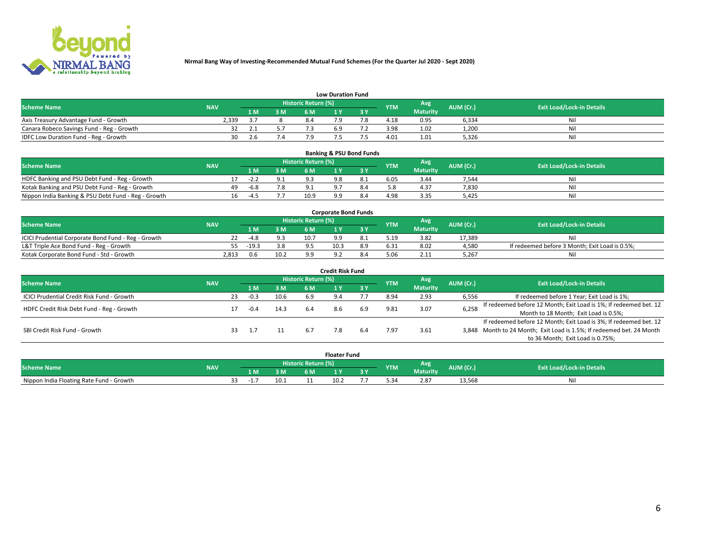

| <b>Low Duration Fund</b>                  |            |      |     |                     |     |     |            |                 |           |                                  |  |  |  |  |
|-------------------------------------------|------------|------|-----|---------------------|-----|-----|------------|-----------------|-----------|----------------------------------|--|--|--|--|
| <b>Scheme Name</b>                        | <b>NAV</b> |      |     | Historic Return (%) |     |     | <b>YTM</b> | <b>Avg</b>      | AUM (Cr.) | <b>Exit Load/Lock-in Details</b> |  |  |  |  |
|                                           |            | 1 M. | 3 M | 6 M                 |     | 2 V |            | <b>Maturity</b> |           |                                  |  |  |  |  |
| Axis Treasury Advantage Fund - Growth     | 2.339      |      |     |                     |     |     | 4.18       | 0.95            | 6,334     | Nil                              |  |  |  |  |
| Canara Robeco Savings Fund - Reg - Growth |            |      |     |                     | 6.9 |     | 3.98       | 1.02            | 1,200     | Nil                              |  |  |  |  |
| IDFC Low Duration Fund - Reg - Growth     | 30         | 2.6  |     |                     |     |     | 4.01       | 1.01            | 5,326     | Nil                              |  |  |  |  |

| <b>Banking &amp; PSU Bond Funds</b>                 |            |    |        |     |                            |  |  |            |                 |           |                                  |  |  |  |
|-----------------------------------------------------|------------|----|--------|-----|----------------------------|--|--|------------|-----------------|-----------|----------------------------------|--|--|--|
| <b>Scheme Name</b>                                  | <b>NAV</b> |    |        |     | <b>Historic Return (%)</b> |  |  | <b>YTM</b> | Avg             | AUM (Cr.) | <b>Exit Load/Lock-in Details</b> |  |  |  |
|                                                     |            |    | 1 M    | 3 M | 6 M                        |  |  |            | <b>Maturity</b> |           |                                  |  |  |  |
| HDFC Banking and PSU Debt Fund - Reg - Growth       |            |    | $-2.4$ |     |                            |  |  | 6.05       | 3.44            | 7.544     | Ni                               |  |  |  |
| Kotak Banking and PSU Debt Fund - Reg - Growth      |            | 49 | $-6.8$ | 7.8 |                            |  |  |            | 4.37            | 7,830     | Nil                              |  |  |  |
| Nippon India Banking & PSU Debt Fund - Reg - Growth |            | 16 | -4.5   |     | 10.9                       |  |  | 4.98       | 3.35            | 5.425     | Ni                               |  |  |  |

| <b>Corporate Bond Funds</b>                         |            |         |      |                            |      |     |            |                 |           |                                                |  |  |  |  |
|-----------------------------------------------------|------------|---------|------|----------------------------|------|-----|------------|-----------------|-----------|------------------------------------------------|--|--|--|--|
| <b>Scheme Name</b>                                  | <b>NAV</b> |         |      | <b>Historic Return (%)</b> |      |     | <b>YTM</b> | Avg             | AUM (Cr.) | <b>Exit Load/Lock-in Details</b>               |  |  |  |  |
|                                                     |            | 1 M     | 3 M  | 6 M                        |      |     |            | <b>Maturity</b> |           |                                                |  |  |  |  |
| ICICI Prudential Corporate Bond Fund - Reg - Growth |            | $-4.8$  | 9.3  | 10.7                       |      |     | . 10       | 3.82            | 17.389    |                                                |  |  |  |  |
| L&T Triple Ace Bond Fund - Reg - Growth             |            | $-19.3$ | 3.8  |                            | 10.3 | 8.9 | 5.31       | 8.02            | 4,580     | If redeemed before 3 Month; Exit Load is 0.5%; |  |  |  |  |
| Kotak Corporate Bond Fund - Std - Growth            | 2.813      | 0.6     | 10.2 |                            |      |     | 5.06       | 2.11            | 5.267     | Νi                                             |  |  |  |  |

| Credit Risk Fund                           |            |    |        |      |                            |     |           |            |                 |           |                                                                       |  |  |  |
|--------------------------------------------|------------|----|--------|------|----------------------------|-----|-----------|------------|-----------------|-----------|-----------------------------------------------------------------------|--|--|--|
| <b>Scheme Name</b>                         | <b>NAV</b> |    |        |      | <b>Historic Return (%)</b> |     |           | <b>YTM</b> | Avg             | AUM (Cr.) | <b>Exit Load/Lock-in Details</b>                                      |  |  |  |
|                                            |            |    | 1 M    | 3 M  | 6 M                        |     | <b>3Y</b> |            | <b>Maturity</b> |           |                                                                       |  |  |  |
| ICICI Prudential Credit Risk Fund - Growth |            | 23 | $-0.3$ | 10.6 | 6.9                        |     |           | 8.94       | 2.93            | 6,556     | If redeemed before 1 Year; Exit Load is 1%;                           |  |  |  |
| HDFC Credit Risk Debt Fund - Reg - Growth  |            |    | $-0.4$ | 14.3 | 6.4                        | 8.6 | 6.9       | 9.81       | 3.07            | 6,258     | If redeemed before 12 Month; Exit Load is 1%; If redeemed bet. 12     |  |  |  |
|                                            |            |    |        |      |                            |     |           |            |                 |           | Month to 18 Month; Exit Load is 0.5%;                                 |  |  |  |
|                                            |            |    |        |      |                            |     |           |            |                 |           | If redeemed before 12 Month; Exit Load is 3%; If redeemed bet. 12     |  |  |  |
| SBI Credit Risk Fund - Growth              |            |    |        |      | 6.7                        |     |           | '.97       | 3.61            |           | 3,848 Month to 24 Month; Exit Load is 1.5%; If redeemed bet. 24 Month |  |  |  |
|                                            |            |    |        |      |                            |     |           |            |                 |           | to 36 Month; Exit Load is 0.75%;                                      |  |  |  |

| <b>Floater Fund</b>                      |            |      |     |      |                     |      |   |            |                 |           |                                  |
|------------------------------------------|------------|------|-----|------|---------------------|------|---|------------|-----------------|-----------|----------------------------------|
| <b>Scheme Name</b>                       | <b>NAV</b> |      |     |      | Historic Return (%) |      |   | <b>YTM</b> | Avg             | AUM (Cr.) | <b>Exit Load/Lock-in Details</b> |
|                                          |            |      | 1 M | ЗM   | 6 M                 | .    | . |            | <b>Maturity</b> |           |                                  |
| Nippon India Floating Rate Fund - Growth |            | - 11 |     | 10.1 |                     | 10.2 |   |            | 2.87            | 13,568    | NL                               |